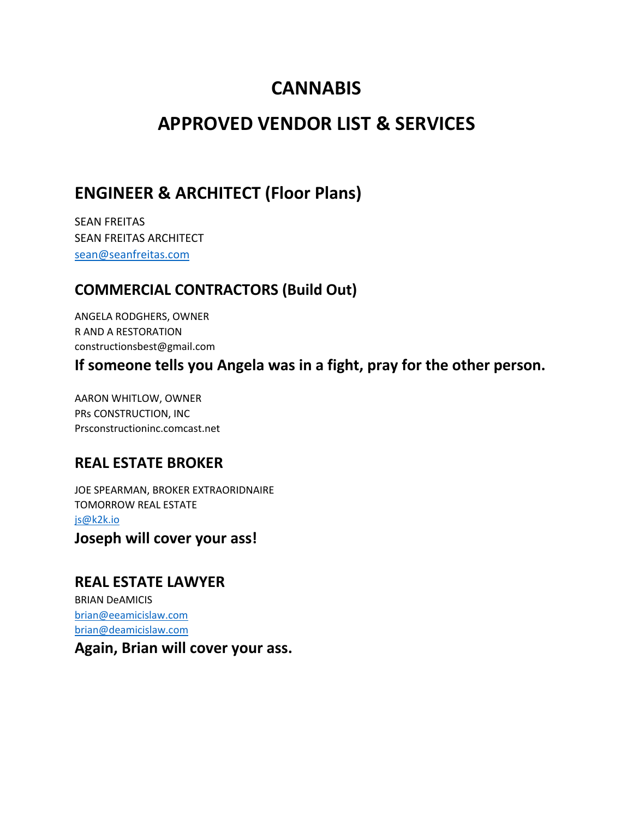# **CANNABIS**

# **APPROVED VENDOR LIST & SERVICES**

### **ENGINEER & ARCHITECT (Floor Plans)**

SEAN FREITAS SEAN FREITAS ARCHITECT sean@seanfreitas.com

### **COMMERCIAL CONTRACTORS (Build Out)**

ANGELA RODGHERS, OWNER R AND A RESTORATION constructionsbest@gmail.com

**If someone tells you Angela was in a fight, pray for the other person.**

AARON WHITLOW, OWNER PRs CONSTRUCTION, INC Prsconstructioninc.comcast.net

#### **REAL ESTATE BROKER**

JOE SPEARMAN, BROKER EXTRAORIDNAIRE TOMORROW REAL ESTATE js@k2k.io

**Joseph will cover your ass!**

#### **REAL ESTATE LAWYER**

BRIAN DeAMICIS brian@eeamicislaw.com brian@deamicislaw.com

**Again, Brian will cover your ass.**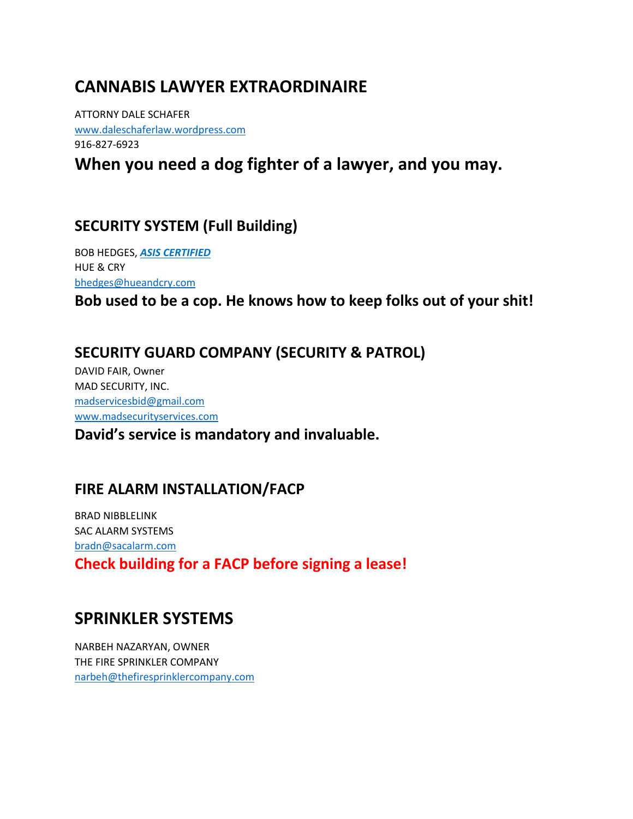# **CANNABIS LAWYER EXTRAORDINAIRE**

ATTORNY DALE SCHAFER www.daleschaferlaw.wordpress.com 916-827-6923

**When you need a dog fighter of a lawyer, and you may.**

### **SECURITY SYSTEM (Full Building)**

BOB HEDGES, *ASIS CERTIFIED* HUE & CRY bhedges@hueandcry.com

**Bob used to be a cop. He knows how to keep folks out of your shit!**

#### **SECURITY GUARD COMPANY (SECURITY & PATROL)**

DAVID FAIR, Owner MAD SECURITY, INC. madservicesbid@gmail.com www.madsecurityservices.com

#### **David's service is mandatory and invaluable.**

#### **FIRE ALARM INSTALLATION/FACP**

BRAD NIBBLELINK SAC ALARM SYSTEMS bradn@sacalarm.com **Check building for a FACP before signing a lease!**

# **SPRINKLER SYSTEMS**

NARBEH NAZARYAN, OWNER THE FIRE SPRINKLER COMPANY narbeh@thefiresprinklercompany.com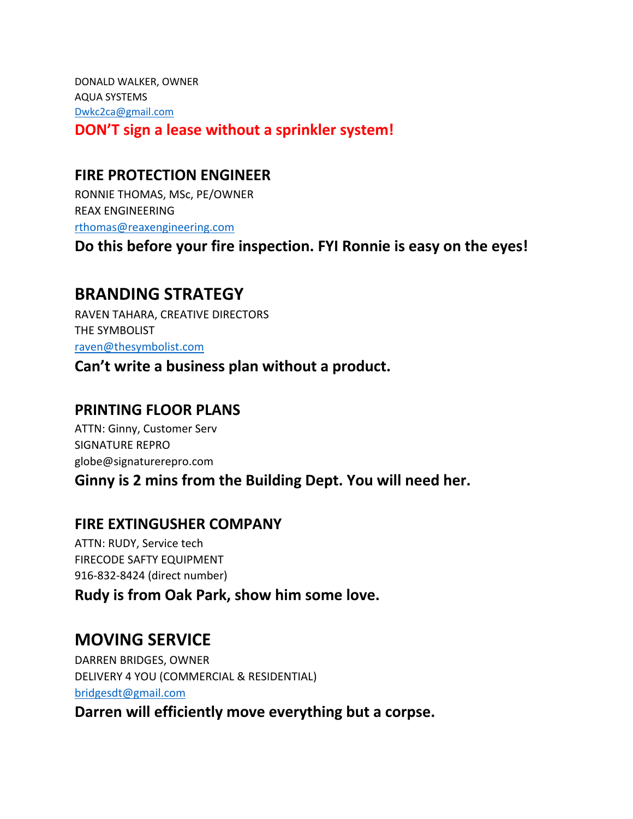DONALD WALKER, OWNER AQUA SYSTEMS Dwkc2ca@gmail.com **DON'T sign a lease without a sprinkler system!**

### **FIRE PROTECTION ENGINEER**

RONNIE THOMAS, MSc, PE/OWNER REAX ENGINEERING rthomas@reaxengineering.com

**Do this before your fire inspection. FYI Ronnie is easy on the eyes!**

# **BRANDING STRATEGY**

RAVEN TAHARA, CREATIVE DIRECTORS THE SYMBOLIST raven@thesymbolist.com

**Can't write a business plan without a product.**

#### **PRINTING FLOOR PLANS**

ATTN: Ginny, Customer Serv SIGNATURE REPRO globe@signaturerepro.com

**Ginny is 2 mins from the Building Dept. You will need her.**

### **FIRE EXTINGUSHER COMPANY**

ATTN: RUDY, Service tech FIRECODE SAFTY EQUIPMENT 916-832-8424 (direct number)

**Rudy is from Oak Park, show him some love.**

# **MOVING SERVICE**

DARREN BRIDGES, OWNER DELIVERY 4 YOU (COMMERCIAL & RESIDENTIAL) bridgesdt@gmail.com

**Darren will efficiently move everything but a corpse.**